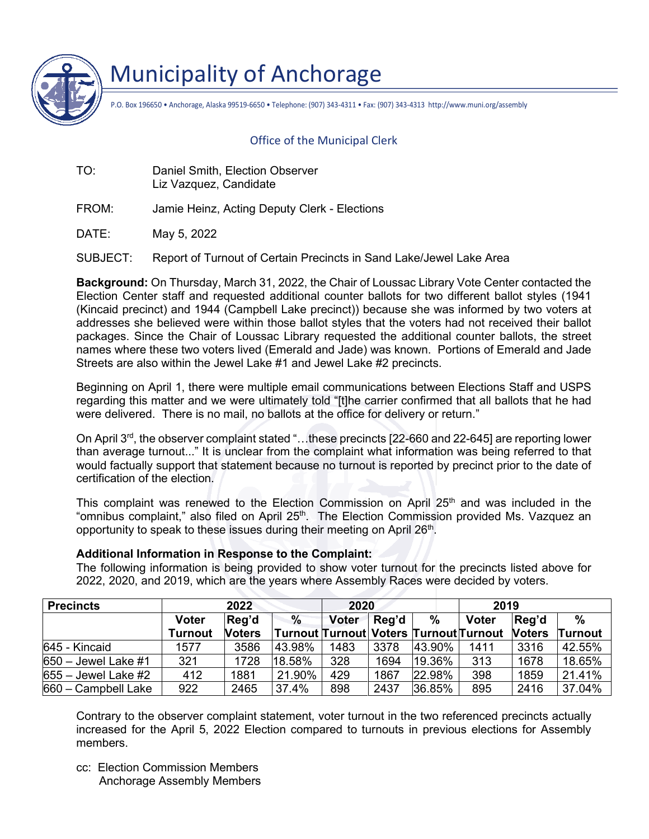

Municipality of Anchorage

P.O. Box 196650 • Anchorage, Alaska 99519-6650 • Telephone: (907) 343-4311 • Fax: (907) 343-4313 http://www.muni.org/assembly

## Office of the Municipal Clerk

TO: Daniel Smith, Election Observer Liz Vazquez, Candidate

FROM: Jamie Heinz, Acting Deputy Clerk - Elections

DATE: May 5, 2022

SUBJECT: Report of Turnout of Certain Precincts in Sand Lake/Jewel Lake Area

**Background:** On Thursday, March 31, 2022, the Chair of Loussac Library Vote Center contacted the Election Center staff and requested additional counter ballots for two different ballot styles (1941 (Kincaid precinct) and 1944 (Campbell Lake precinct)) because she was informed by two voters at addresses she believed were within those ballot styles that the voters had not received their ballot packages. Since the Chair of Loussac Library requested the additional counter ballots, the street names where these two voters lived (Emerald and Jade) was known. Portions of Emerald and Jade Streets are also within the Jewel Lake #1 and Jewel Lake #2 precincts.

Beginning on April 1, there were multiple email communications between Elections Staff and USPS regarding this matter and we were ultimately told "[t]he carrier confirmed that all ballots that he had were delivered. There is no mail, no ballots at the office for delivery or return."

On April 3<sup>rd</sup>, the observer complaint stated "...these precincts [22-660 and 22-645] are reporting lower than average turnout..." It is unclear from the complaint what information was being referred to that would factually support that statement because no turnout is reported by precinct prior to the date of certification of the election.

This complaint was renewed to the Election Commission on April 25<sup>th</sup> and was included in the "omnibus complaint," also filed on April 25<sup>th</sup>. The Election Commission provided Ms. Vazquez an opportunity to speak to these issues during their meeting on April 26<sup>th</sup>.

## **Additional Information in Response to the Complaint:**

The following information is being provided to show voter turnout for the precincts listed above for 2022, 2020, and 2019, which are the years where Assembly Races were decided by voters.

| <b>Precincts</b>      | 2022           |               |               | 2020         |       |        | 2019                                   |               |                |
|-----------------------|----------------|---------------|---------------|--------------|-------|--------|----------------------------------------|---------------|----------------|
|                       | <b>Voter</b>   | Reg'd         | $\frac{0}{0}$ | <b>Voter</b> | Reg'd | %      | <b>Voter</b>                           | Reg'd         | $\frac{0}{0}$  |
|                       | <b>Turnout</b> | <b>Noters</b> |               |              |       |        | Turnout Turnout Voters Turnout Turnout | <b>Noters</b> | <b>Turnout</b> |
| 645 - Kincaid         | 1577           | 3586          | 43.98%        | 1483         | 3378  | 43.90% | 1411                                   | 3316          | 42.55%         |
| $650 -$ Jewel Lake #1 | 321            | 1728          | 18.58%        | 328          | 1694  | 19.36% | 313                                    | 1678          | 18.65%         |
| $655 -$ Jewel Lake #2 | 412            | 1881          | 21.90%        | 429          | 1867  | 22.98% | 398                                    | 1859          | 21.41%         |
| $660 - Campbell$ Lake | 922            | 2465          | 37.4%         | 898          | 2437  | 36.85% | 895                                    | 2416          | 37.04%         |

Contrary to the observer complaint statement, voter turnout in the two referenced precincts actually increased for the April 5, 2022 Election compared to turnouts in previous elections for Assembly members.

cc: Election Commission Members Anchorage Assembly Members